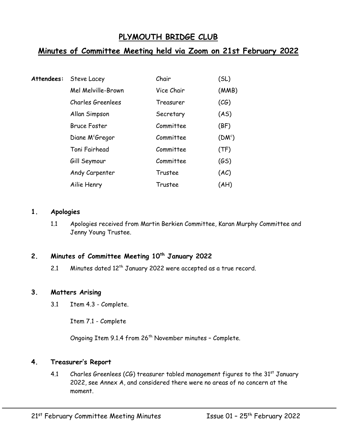# **PLYMOUTH BRIDGE CLUB**

# **Minutes of Committee Meeting held via Zoom on 21st February 2022**

| Attendees: | Steve Lacey                 | Chair      | (SL)     |
|------------|-----------------------------|------------|----------|
|            | Mel Melville-Brown          | Vice Chair | (MMB)    |
|            | <b>Charles Greenlees</b>    | Treasurer  | (CG)     |
|            | Allan Simpson               | Secretary  | (AS)     |
|            | <b>Bruce Foster</b>         | Committee  | (BF)     |
|            | Diane M <sup>c</sup> Gregor | Committee  | $(DM^c)$ |
|            | Toni Fairhead               | Committee  | (TF)     |
|            | Gill Seymour                | Committee  | (GS)     |
|            | Andy Carpenter              | Trustee    | (AC)     |
|            | Ailie Henry                 | Trustee    | (AH)     |

#### **1. Apologies**

1.1 Apologies received from Martin Berkien Committee, Karan Murphy Committee and Jenny Young Trustee.

# **2. Minutes of Committee Meeting 10th January 2022**

2.1 Minutes dated 12<sup>th</sup> January 2022 were accepted as a true record.

#### **3. Matters Arising**

3.1 Item 4.3 - Complete.

Item 7.1 - Complete

Ongoing Item 9.1.4 from 26<sup>th</sup> November minutes - Complete.

#### **4. Treasurer's Report**

4.1 Charles Greenlees (CG) treasurer tabled management figures to the  $31<sup>st</sup>$  January 2022, see Annex A, and considered there were no areas of no concern at the moment.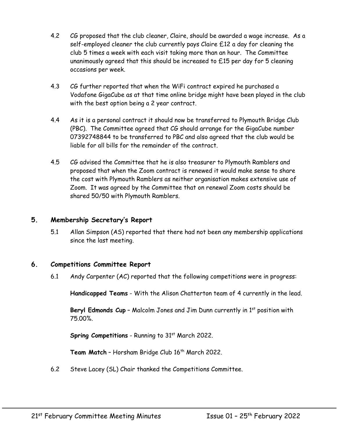- 4.2 CG proposed that the club cleaner, Claire, should be awarded a wage increase. As a self-employed cleaner the club currently pays Claire £12 a day for cleaning the club 5 times a week with each visit taking more than an hour. The Committee unanimously agreed that this should be increased to £15 per day for 5 cleaning occasions per week.
- 4.3 CG further reported that when the WiFi contract expired he purchased a Vodafone GigaCube as at that time online bridge might have been played in the club with the best option being a 2 year contract.
- 4.4 As it is a personal contract it should now be transferred to Plymouth Bridge Club (PBC). The Committee agreed that CG should arrange for the GigaCube number 07392748844 to be transferred to PBC and also agreed that the club would be liable for all bills for the remainder of the contract.
- 4.5 CG advised the Committee that he is also treasurer to Plymouth Ramblers and proposed that when the Zoom contract is renewed it would make sense to share the cost with Plymouth Ramblers as neither organisation makes extensive use of Zoom. It was agreed by the Committee that on renewal Zoom costs should be shared 50/50 with Plymouth Ramblers.

#### **5. Membership Secretary's Report**

5.1 Allan Simpson (AS) reported that there had not been any membership applications since the last meeting.

#### **6. Competitions Committee Report**

6.1 Andy Carpenter (AC) reported that the following competitions were in progress:

**Handicapped Teams** - With the Alison Chatterton team of 4 currently in the lead.

Beryl Edmonds Cup - Malcolm Jones and Jim Dunn currently in 1<sup>st</sup> position with 75.00%.

**Spring Competitions** - Running to 31<sup>st</sup> March 2022.

Team Match - Horsham Bridge Club 16<sup>th</sup> March 2022.

6.2 Steve Lacey (SL) Chair thanked the Competitions Committee.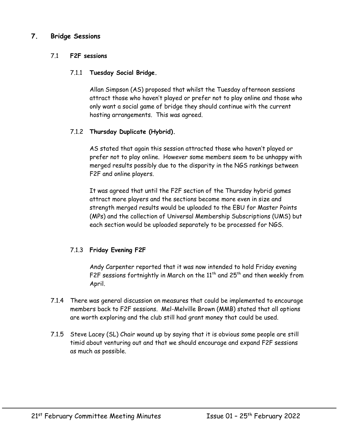#### **7. Bridge Sessions**

#### 7.1 **F2F sessions**

#### 7.1.1 **Tuesday Social Bridge.**

Allan Simpson (AS) proposed that whilst the Tuesday afternoon sessions attract those who haven't played or prefer not to play online and those who only want a social game of bridge they should continue with the current hosting arrangements. This was agreed.

#### 7.1.2 **Thursday Duplicate (Hybrid).**

AS stated that again this session attracted those who haven't played or prefer not to play online. However some members seem to be unhappy with merged results possibly due to the disparity in the NGS rankings between F2F and online players.

It was agreed that until the F2F section of the Thursday hybrid games attract more players and the sections become more even in size and strength merged results would be uploaded to the EBU for Master Points (MPs) and the collection of Universal Membership Subscriptions (UMS) but each section would be uploaded separately to be processed for NGS.

#### 7.1.3 **Friday Evening F2F**

Andy Carpenter reported that it was now intended to hold Friday evening F2F sessions fortnightly in March on the  $11^{th}$  and  $25^{th}$  and then weekly from April.

- 7.1.4 There was general discussion on measures that could be implemented to encourage members back to F2F sessions. Mel-Melville Brown (MMB) stated that all options are worth exploring and the club still had grant money that could be used.
- 7.1.5 Steve Lacey (SL) Chair wound up by saying that it is obvious some people are still timid about venturing out and that we should encourage and expand F2F sessions as much as possible.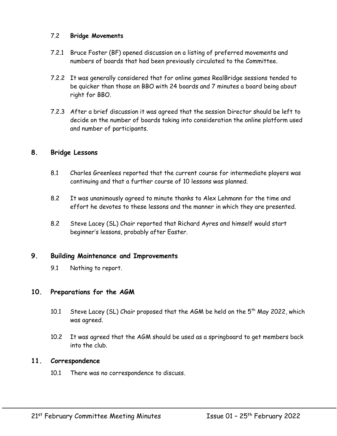#### 7.2 **Bridge Movements**

- 7.2.1 Bruce Foster (BF) opened discussion on a listing of preferred movements and numbers of boards that had been previously circulated to the Committee.
- 7.2.2 It was generally considered that for online games RealBridge sessions tended to be quicker than those on BBO with 24 boards and 7 minutes a board being about right for BBO.
- 7.2.3 After a brief discussion it was agreed that the session Director should be left to decide on the number of boards taking into consideration the online platform used and number of participants.

#### **8. Bridge Lessons**

- 8.1 Charles Greenlees reported that the current course for intermediate players was continuing and that a further course of 10 lessons was planned.
- 8.2 It was unanimously agreed to minute thanks to Alex Lehmann for the time and effort he devotes to these lessons and the manner in which they are presented.
- 8.2 Steve Lacey (SL) Chair reported that Richard Ayres and himself would start beginner's lessons, probably after Easter.

#### **9. Building Maintenance and Improvements**

9.1 Nothing to report.

#### **10. Preparations for the AGM**

- 10.1 Steve Lacey (SL) Chair proposed that the AGM be held on the  $5<sup>th</sup>$  May 2022, which was agreed.
- 10.2 It was agreed that the AGM should be used as a springboard to get members back into the club.

#### **11. Correspondence**

10.1 There was no correspondence to discuss.